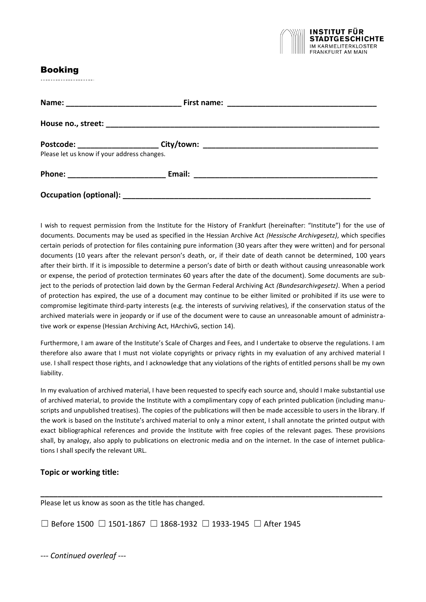

# Booking

---------------------

| Please let us know if your address changes. |  |
|---------------------------------------------|--|
|                                             |  |
|                                             |  |

I wish to request permission from the Institute for the History of Frankfurt (hereinafter: "Institute") for the use of documents. Documents may be used as specified in the Hessian Archive Act *(Hessische Archivgesetz)*, which specifies certain periods of protection for files containing pure information (30 years after they were written) and for personal documents (10 years after the relevant person's death, or, if their date of death cannot be determined, 100 years after their birth. If it is impossible to determine a person's date of birth or death without causing unreasonable work or expense, the period of protection terminates 60 years after the date of the document). Some documents are subject to the periods of protection laid down by the German Federal Archiving Act *(Bundesarchivgesetz)*. When a period of protection has expired, the use of a document may continue to be either limited or prohibited if its use were to compromise legitimate third-party interests (e.g. the interests of surviving relatives), if the conservation status of the archived materials were in jeopardy or if use of the document were to cause an unreasonable amount of administrative work or expense (Hessian Archiving Act, HArchivG, section 14).

Furthermore, I am aware of the Institute's Scale of Charges and Fees, and I undertake to observe the regulations. I am therefore also aware that I must not violate copyrights or privacy rights in my evaluation of any archived material I use. I shall respect those rights, and I acknowledge that any violations of the rights of entitled persons shall be my own liability.

In my evaluation of archived material, I have been requested to specify each source and, should I make substantial use of archived material, to provide the Institute with a complimentary copy of each printed publication (including manuscripts and unpublished treatises). The copies of the publications will then be made accessible to users in the library. If the work is based on the Institute's archived material to only a minor extent, I shall annotate the printed output with exact bibliographical references and provide the Institute with free copies of the relevant pages. These provisions shall, by analogy, also apply to publications on electronic media and on the internet. In the case of internet publications I shall specify the relevant URL.

**\_\_\_\_\_\_\_\_\_\_\_\_\_\_\_\_\_\_\_\_\_\_\_\_\_\_\_\_\_\_\_\_\_\_\_\_\_\_\_\_\_\_\_\_\_\_\_\_\_\_\_\_\_\_\_\_\_\_\_\_\_\_\_\_\_\_\_\_\_\_\_\_\_\_\_\_\_\_\_\_**

## **Topic or working title:**

Please let us know as soon as the title has changed.

☐ Before 1500 ☐ 1501-1867 ☐ 1868-1932 ☐ 1933-1945 ☐ After 1945

*--- Continued overleaf ---*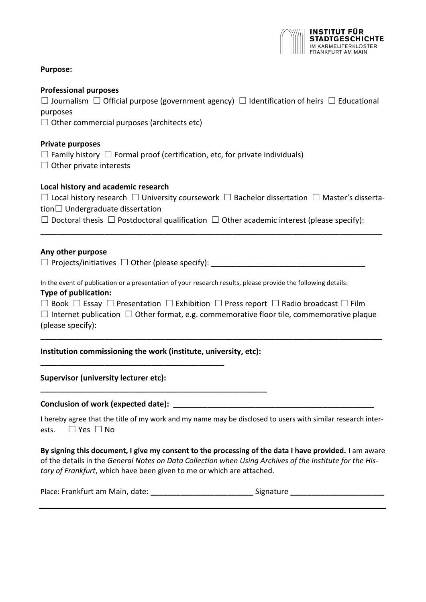

## **Purpose:**

## **Professional purposes**

☐ Journalism ☐ Official purpose (government agency) ☐ Identification of heirs ☐ Educational purposes

 $\Box$  Other commercial purposes (architects etc)

## **Private purposes**

 $\Box$  Family history  $\Box$  Formal proof (certification, etc, for private individuals)

 $\Box$  Other private interests

## **Local history and academic research**

☐ Local history research ☐ University coursework ☐ Bachelor dissertation ☐ Master's dissertation☐ Undergraduate dissertation

**\_\_\_\_\_\_\_\_\_\_\_\_\_\_\_\_\_\_\_\_\_\_\_\_\_\_\_\_\_\_\_\_\_\_\_\_\_\_\_\_\_\_\_\_\_\_\_\_\_\_\_\_\_\_\_\_\_\_\_\_\_\_\_\_\_\_\_\_\_\_\_\_\_\_\_\_\_\_\_\_**

 $\Box$  Doctoral thesis  $\Box$  Postdoctoral qualification  $\Box$  Other academic interest (please specify):

## **Any other purpose**

 $\Box$  Projects/initiatives  $\Box$  Other (please specify):

In the event of publication or a presentation of your research results, please provide the following details: **Type of publication:**

| □ Book □ Essay □ Presentation □ Exhibition □ Press report □ Radio broadcast □ Film                   |
|------------------------------------------------------------------------------------------------------|
| $\Box$ Internet publication $\Box$ Other format, e.g. commemorative floor tile, commemorative plaque |
| (please specify):                                                                                    |

**\_\_\_\_\_\_\_\_\_\_\_\_\_\_\_\_\_\_\_\_\_\_\_\_\_\_\_\_\_\_\_\_\_\_\_\_\_\_\_\_\_\_\_\_\_\_\_\_\_\_\_\_\_\_\_\_\_\_\_\_\_\_\_\_\_\_\_\_\_\_\_\_\_\_\_\_\_\_\_\_**

## **Institution commissioning the work (institute, university, etc):**

**\_\_\_\_\_\_\_\_\_\_\_\_\_\_\_\_\_\_\_\_\_\_\_\_\_\_\_\_\_\_\_\_\_\_\_\_\_\_\_\_\_\_\_\_\_\_\_\_\_\_\_\_\_**

**\_\_\_\_\_\_\_\_\_\_\_\_\_\_\_\_\_\_\_\_\_\_\_\_\_\_\_\_\_\_\_\_\_\_\_\_\_\_\_\_\_\_\_**

## **Supervisor (university lecturer etc):**

#### **Conclusion of work (expected date): \_\_\_\_\_\_\_\_\_\_\_\_\_\_\_\_\_\_\_\_\_\_\_\_\_\_\_\_\_\_\_\_\_\_\_\_\_\_\_\_\_\_\_\_\_\_\_**

I hereby agree that the title of my work and my name may be disclosed to users with similar research interests. ☐ Yes ☐ No

**By signing this document, I give my consent to the processing of the data I have provided.** I am aware of the details in the *General Notes on Data Collection when Using Archives of the Institute for the History of Frankfurt*, which have been given to me or which are attached.

| Place: Frankfurt am Main, date:<br>Signature |  |
|----------------------------------------------|--|
|----------------------------------------------|--|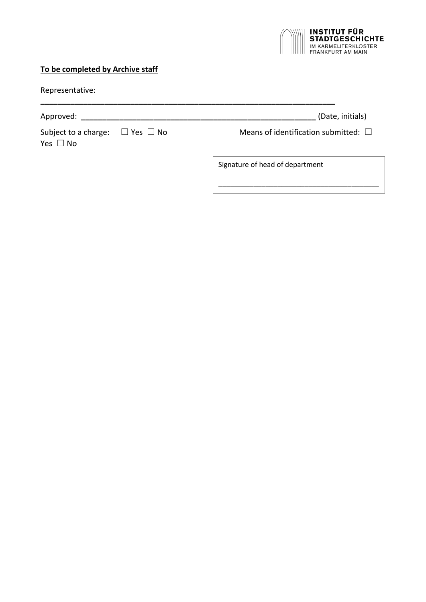

## **To be completed by Archive staff**

| Representative: |
|-----------------|
|-----------------|

Subject to a charge:  $□$  Yes  $□$  No Means of identification submitted:  $□$ Yes □ No

**\_\_\_\_\_\_\_\_\_\_\_\_\_\_\_\_\_\_\_\_\_\_\_\_\_\_\_\_\_\_\_\_\_\_\_\_\_\_\_\_\_\_\_\_\_\_\_\_\_\_\_\_\_\_\_\_\_\_\_\_\_\_\_\_\_\_\_\_\_**

Approved: **\_\_\_\_\_\_\_\_\_\_\_\_\_\_\_\_\_\_\_\_\_\_\_\_\_\_\_\_\_\_\_\_\_\_\_\_\_\_\_\_\_\_\_\_\_\_\_\_\_\_\_\_\_\_\_** (Date, initials)

\_\_\_\_\_\_\_\_\_\_\_\_\_\_\_\_\_\_\_\_\_\_\_\_\_\_\_\_\_\_\_\_\_\_\_\_\_\_\_\_\_

Signature of head of department